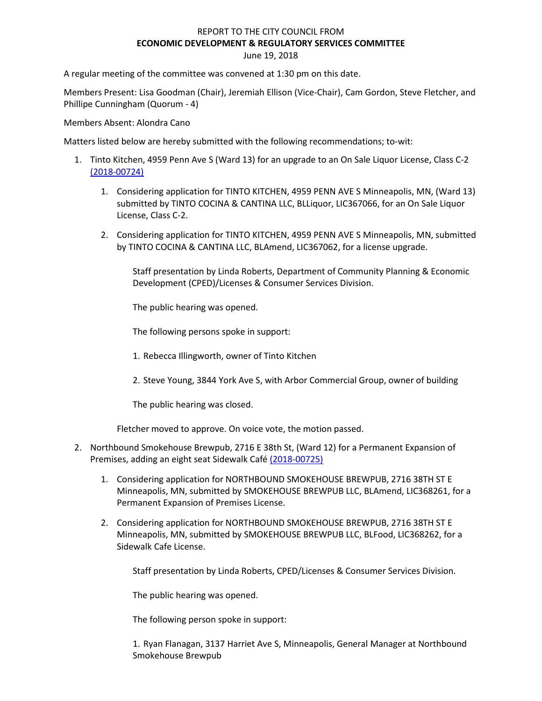# REPORT TO THE CITY COUNCIL FROM **ECONOMIC DEVELOPMENT & REGULATORY SERVICES COMMITTEE** June 19, 2018

A regular meeting of the committee was convened at 1:30 pm on this date.

Members Present: Lisa Goodman (Chair), Jeremiah Ellison (Vice-Chair), Cam Gordon, Steve Fletcher, and Phillipe Cunningham (Quorum - 4)

Members Absent: Alondra Cano

Matters listed below are hereby submitted with the following recommendations; to-wit:

- 1. Tinto Kitchen, 4959 Penn Ave S (Ward 13) for an upgrade to an On Sale Liquor License, Class C-2 [\(2018-00724\)](https://lims.minneapolismn.gov/File/2018-00724)
	- 1. Considering application for TINTO KITCHEN, 4959 PENN AVE S Minneapolis, MN, (Ward 13) submitted by TINTO COCINA & CANTINA LLC, BLLiquor, LIC367066, for an On Sale Liquor License, Class C-2.
	- 2. Considering application for TINTO KITCHEN, 4959 PENN AVE S Minneapolis, MN, submitted by TINTO COCINA & CANTINA LLC, BLAmend, LIC367062, for a license upgrade.

Staff presentation by Linda Roberts, Department of Community Planning & Economic Development (CPED)/Licenses & Consumer Services Division.

The public hearing was opened.

The following persons spoke in support:

- 1. Rebecca Illingworth, owner of Tinto Kitchen
- 2. Steve Young, 3844 York Ave S, with Arbor Commercial Group, owner of building

The public hearing was closed.

Fletcher moved to approve. On voice vote, the motion passed.

- 2. Northbound Smokehouse Brewpub, 2716 E 38th St, (Ward 12) for a Permanent Expansion of Premises, adding an eight seat Sidewalk Caf[é \(2018-00725\)](https://lims.minneapolismn.gov/File/2018-00725)
	- 1. Considering application for NORTHBOUND SMOKEHOUSE BREWPUB, 2716 38TH ST E Minneapolis, MN, submitted by SMOKEHOUSE BREWPUB LLC, BLAmend, LIC368261, for a Permanent Expansion of Premises License.
	- 2. Considering application for NORTHBOUND SMOKEHOUSE BREWPUB, 2716 38TH ST E Minneapolis, MN, submitted by SMOKEHOUSE BREWPUB LLC, BLFood, LIC368262, for a Sidewalk Cafe License.

Staff presentation by Linda Roberts, CPED/Licenses & Consumer Services Division.

The public hearing was opened.

The following person spoke in support:

1. Ryan Flanagan, 3137 Harriet Ave S, Minneapolis, General Manager at Northbound Smokehouse Brewpub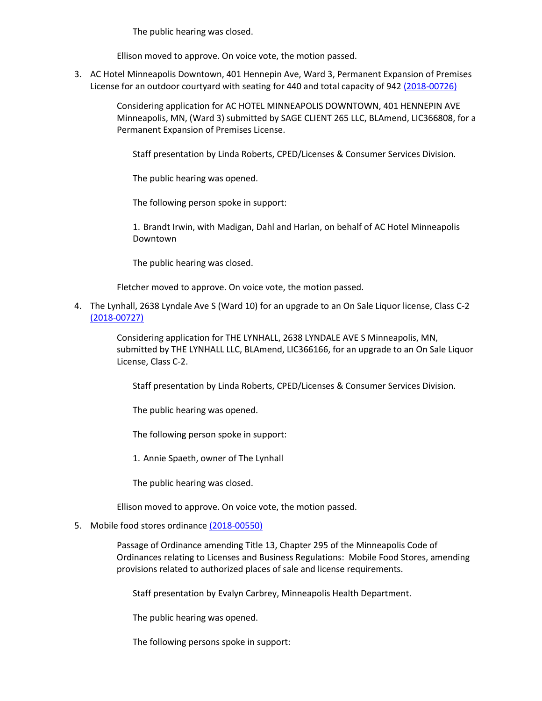The public hearing was closed.

Ellison moved to approve. On voice vote, the motion passed.

3. AC Hotel Minneapolis Downtown, 401 Hennepin Ave, Ward 3, Permanent Expansion of Premises License for an outdoor courtyard with seating for 440 and total capacity of 942 [\(2018-00726\)](https://lims.minneapolismn.gov/File/2018-00726)

> Considering application for AC HOTEL MINNEAPOLIS DOWNTOWN, 401 HENNEPIN AVE Minneapolis, MN, (Ward 3) submitted by SAGE CLIENT 265 LLC, BLAmend, LIC366808, for a Permanent Expansion of Premises License.

Staff presentation by Linda Roberts, CPED/Licenses & Consumer Services Division.

The public hearing was opened.

The following person spoke in support:

1. Brandt Irwin, with Madigan, Dahl and Harlan, on behalf of AC Hotel Minneapolis Downtown

The public hearing was closed.

Fletcher moved to approve. On voice vote, the motion passed.

4. The Lynhall, 2638 Lyndale Ave S (Ward 10) for an upgrade to an On Sale Liquor license, Class C-2 [\(2018-00727\)](https://lims.minneapolismn.gov/File/2018-00727)

> Considering application for THE LYNHALL, 2638 LYNDALE AVE S Minneapolis, MN, submitted by THE LYNHALL LLC, BLAmend, LIC366166, for an upgrade to an On Sale Liquor License, Class C-2.

Staff presentation by Linda Roberts, CPED/Licenses & Consumer Services Division.

The public hearing was opened.

The following person spoke in support:

1. Annie Spaeth, owner of The Lynhall

The public hearing was closed.

Ellison moved to approve. On voice vote, the motion passed.

### 5. Mobile food stores ordinanc[e \(2018-00550\)](https://lims.minneapolismn.gov/File/2018-00550)

Passage of Ordinance amending Title 13, Chapter 295 of the Minneapolis Code of Ordinances relating to Licenses and Business Regulations: Mobile Food Stores, amending provisions related to authorized places of sale and license requirements.

Staff presentation by Evalyn Carbrey, Minneapolis Health Department.

The public hearing was opened.

The following persons spoke in support: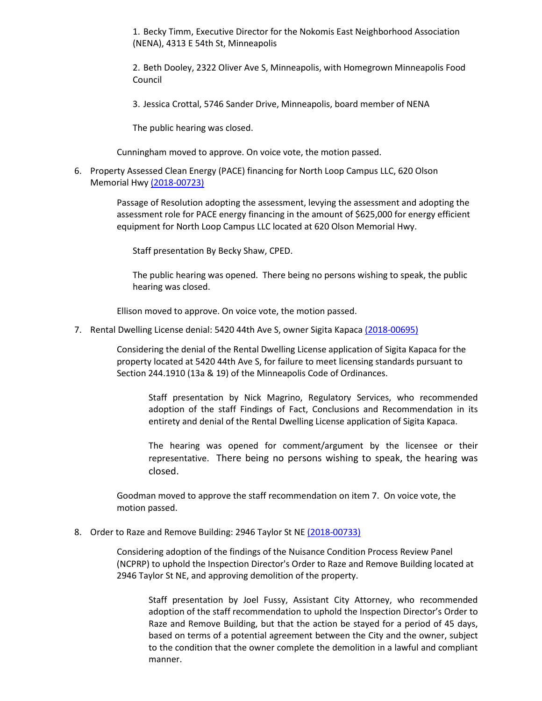1. Becky Timm, Executive Director for the Nokomis East Neighborhood Association (NENA), 4313 E 54th St, Minneapolis

2. Beth Dooley, 2322 Oliver Ave S, Minneapolis, with Homegrown Minneapolis Food Council

3. Jessica Crottal, 5746 Sander Drive, Minneapolis, board member of NENA

The public hearing was closed.

Cunningham moved to approve. On voice vote, the motion passed.

6. Property Assessed Clean Energy (PACE) financing for North Loop Campus LLC, 620 Olson Memorial Hwy [\(2018-00723\)](https://lims.minneapolismn.gov/File/2018-00723)

> Passage of Resolution adopting the assessment, levying the assessment and adopting the assessment role for PACE energy financing in the amount of \$625,000 for energy efficient equipment for North Loop Campus LLC located at 620 Olson Memorial Hwy.

Staff presentation By Becky Shaw, CPED.

The public hearing was opened. There being no persons wishing to speak, the public hearing was closed.

Ellison moved to approve. On voice vote, the motion passed.

7. Rental Dwelling License denial: 5420 44th Ave S, owner Sigita Kapaca [\(2018-00695\)](https://lims.minneapolismn.gov/File/2018-00695)

Considering the denial of the Rental Dwelling License application of Sigita Kapaca for the property located at 5420 44th Ave S, for failure to meet licensing standards pursuant to Section 244.1910 (13a & 19) of the Minneapolis Code of Ordinances.

Staff presentation by Nick Magrino, Regulatory Services, who recommended adoption of the staff Findings of Fact, Conclusions and Recommendation in its entirety and denial of the Rental Dwelling License application of Sigita Kapaca.

The hearing was opened for comment/argument by the licensee or their representative. There being no persons wishing to speak, the hearing was closed.

Goodman moved to approve the staff recommendation on item 7. On voice vote, the motion passed.

#### 8. Order to Raze and Remove Building: 2946 Taylor St NE [\(2018-00733\)](https://lims.minneapolismn.gov/File/2018-00733)

Considering adoption of the findings of the Nuisance Condition Process Review Panel (NCPRP) to uphold the Inspection Director's Order to Raze and Remove Building located at 2946 Taylor St NE, and approving demolition of the property.

Staff presentation by Joel Fussy, Assistant City Attorney, who recommended adoption of the staff recommendation to uphold the Inspection Director's Order to Raze and Remove Building, but that the action be stayed for a period of 45 days, based on terms of a potential agreement between the City and the owner, subject to the condition that the owner complete the demolition in a lawful and compliant manner.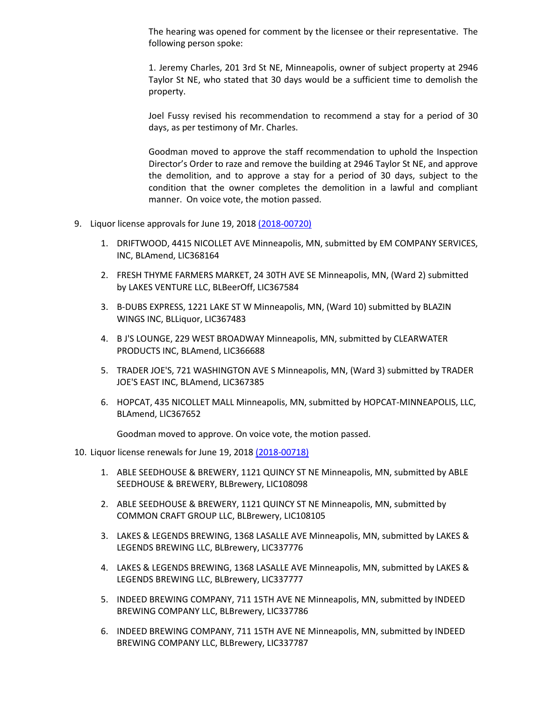The hearing was opened for comment by the licensee or their representative. The following person spoke:

1. Jeremy Charles, 201 3rd St NE, Minneapolis, owner of subject property at 2946 Taylor St NE, who stated that 30 days would be a sufficient time to demolish the property.

Joel Fussy revised his recommendation to recommend a stay for a period of 30 days, as per testimony of Mr. Charles.

Goodman moved to approve the staff recommendation to uphold the Inspection Director's Order to raze and remove the building at 2946 Taylor St NE, and approve the demolition, and to approve a stay for a period of 30 days, subject to the condition that the owner completes the demolition in a lawful and compliant manner. On voice vote, the motion passed.

- 9. Liquor license approvals for June 19, 201[8 \(2018-00720\)](https://lims.minneapolismn.gov/File/2018-00720)
	- 1. DRIFTWOOD, 4415 NICOLLET AVE Minneapolis, MN, submitted by EM COMPANY SERVICES, INC, BLAmend, LIC368164
	- 2. FRESH THYME FARMERS MARKET, 24 30TH AVE SE Minneapolis, MN, (Ward 2) submitted by LAKES VENTURE LLC, BLBeerOff, LIC367584
	- 3. B-DUBS EXPRESS, 1221 LAKE ST W Minneapolis, MN, (Ward 10) submitted by BLAZIN WINGS INC, BLLiquor, LIC367483
	- 4. B J'S LOUNGE, 229 WEST BROADWAY Minneapolis, MN, submitted by CLEARWATER PRODUCTS INC, BLAmend, LIC366688
	- 5. TRADER JOE'S, 721 WASHINGTON AVE S Minneapolis, MN, (Ward 3) submitted by TRADER JOE'S EAST INC, BLAmend, LIC367385
	- 6. HOPCAT, 435 NICOLLET MALL Minneapolis, MN, submitted by HOPCAT-MINNEAPOLIS, LLC, BLAmend, LIC367652

Goodman moved to approve. On voice vote, the motion passed.

## 10. Liquor license renewals for June 19, 201[8 \(2018-00718\)](https://lims.minneapolismn.gov/File/2018-00718)

- 1. ABLE SEEDHOUSE & BREWERY, 1121 QUINCY ST NE Minneapolis, MN, submitted by ABLE SEEDHOUSE & BREWERY, BLBrewery, LIC108098
- 2. ABLE SEEDHOUSE & BREWERY, 1121 QUINCY ST NE Minneapolis, MN, submitted by COMMON CRAFT GROUP LLC, BLBrewery, LIC108105
- 3. LAKES & LEGENDS BREWING, 1368 LASALLE AVE Minneapolis, MN, submitted by LAKES & LEGENDS BREWING LLC, BLBrewery, LIC337776
- 4. LAKES & LEGENDS BREWING, 1368 LASALLE AVE Minneapolis, MN, submitted by LAKES & LEGENDS BREWING LLC, BLBrewery, LIC337777
- 5. INDEED BREWING COMPANY, 711 15TH AVE NE Minneapolis, MN, submitted by INDEED BREWING COMPANY LLC, BLBrewery, LIC337786
- 6. INDEED BREWING COMPANY, 711 15TH AVE NE Minneapolis, MN, submitted by INDEED BREWING COMPANY LLC, BLBrewery, LIC337787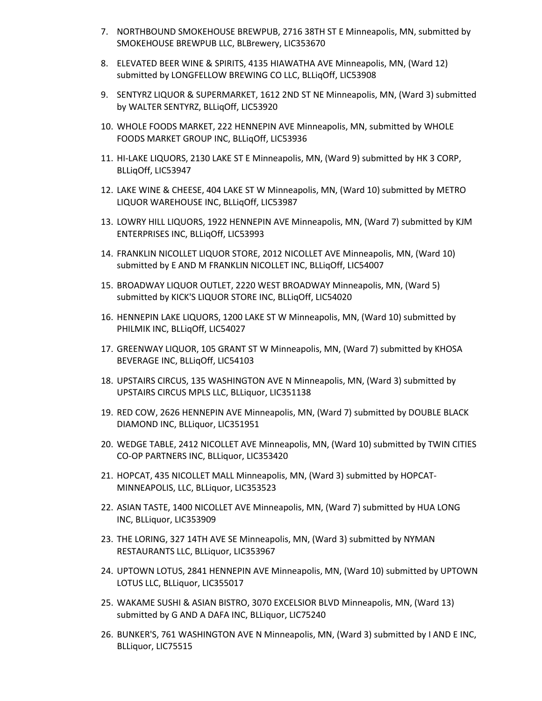- 7. NORTHBOUND SMOKEHOUSE BREWPUB, 2716 38TH ST E Minneapolis, MN, submitted by SMOKEHOUSE BREWPUB LLC, BLBrewery, LIC353670
- 8. ELEVATED BEER WINE & SPIRITS, 4135 HIAWATHA AVE Minneapolis, MN, (Ward 12) submitted by LONGFELLOW BREWING CO LLC, BLLiqOff, LIC53908
- 9. SENTYRZ LIQUOR & SUPERMARKET, 1612 2ND ST NE Minneapolis, MN, (Ward 3) submitted by WALTER SENTYRZ, BLLiqOff, LIC53920
- 10. WHOLE FOODS MARKET, 222 HENNEPIN AVE Minneapolis, MN, submitted by WHOLE FOODS MARKET GROUP INC, BLLiqOff, LIC53936
- 11. HI-LAKE LIQUORS, 2130 LAKE ST E Minneapolis, MN, (Ward 9) submitted by HK 3 CORP, BLLiqOff, LIC53947
- 12. LAKE WINE & CHEESE, 404 LAKE ST W Minneapolis, MN, (Ward 10) submitted by METRO LIQUOR WAREHOUSE INC, BLLiqOff, LIC53987
- 13. LOWRY HILL LIQUORS, 1922 HENNEPIN AVE Minneapolis, MN, (Ward 7) submitted by KJM ENTERPRISES INC, BLLiqOff, LIC53993
- 14. FRANKLIN NICOLLET LIQUOR STORE, 2012 NICOLLET AVE Minneapolis, MN, (Ward 10) submitted by E AND M FRANKLIN NICOLLET INC, BLLiqOff, LIC54007
- 15. BROADWAY LIQUOR OUTLET, 2220 WEST BROADWAY Minneapolis, MN, (Ward 5) submitted by KICK'S LIQUOR STORE INC, BLLiqOff, LIC54020
- 16. HENNEPIN LAKE LIQUORS, 1200 LAKE ST W Minneapolis, MN, (Ward 10) submitted by PHILMIK INC, BLLiqOff, LIC54027
- 17. GREENWAY LIQUOR, 105 GRANT ST W Minneapolis, MN, (Ward 7) submitted by KHOSA BEVERAGE INC, BLLiqOff, LIC54103
- 18. UPSTAIRS CIRCUS, 135 WASHINGTON AVE N Minneapolis, MN, (Ward 3) submitted by UPSTAIRS CIRCUS MPLS LLC, BLLiquor, LIC351138
- 19. RED COW, 2626 HENNEPIN AVE Minneapolis, MN, (Ward 7) submitted by DOUBLE BLACK DIAMOND INC, BLLiquor, LIC351951
- 20. WEDGE TABLE, 2412 NICOLLET AVE Minneapolis, MN, (Ward 10) submitted by TWIN CITIES CO-OP PARTNERS INC, BLLiquor, LIC353420
- 21. HOPCAT, 435 NICOLLET MALL Minneapolis, MN, (Ward 3) submitted by HOPCAT-MINNEAPOLIS, LLC, BLLiquor, LIC353523
- 22. ASIAN TASTE, 1400 NICOLLET AVE Minneapolis, MN, (Ward 7) submitted by HUA LONG INC, BLLiquor, LIC353909
- 23. THE LORING, 327 14TH AVE SE Minneapolis, MN, (Ward 3) submitted by NYMAN RESTAURANTS LLC, BLLiquor, LIC353967
- 24. UPTOWN LOTUS, 2841 HENNEPIN AVE Minneapolis, MN, (Ward 10) submitted by UPTOWN LOTUS LLC, BLLiquor, LIC355017
- 25. WAKAME SUSHI & ASIAN BISTRO, 3070 EXCELSIOR BLVD Minneapolis, MN, (Ward 13) submitted by G AND A DAFA INC, BLLiquor, LIC75240
- 26. BUNKER'S, 761 WASHINGTON AVE N Minneapolis, MN, (Ward 3) submitted by I AND E INC, BLLiquor, LIC75515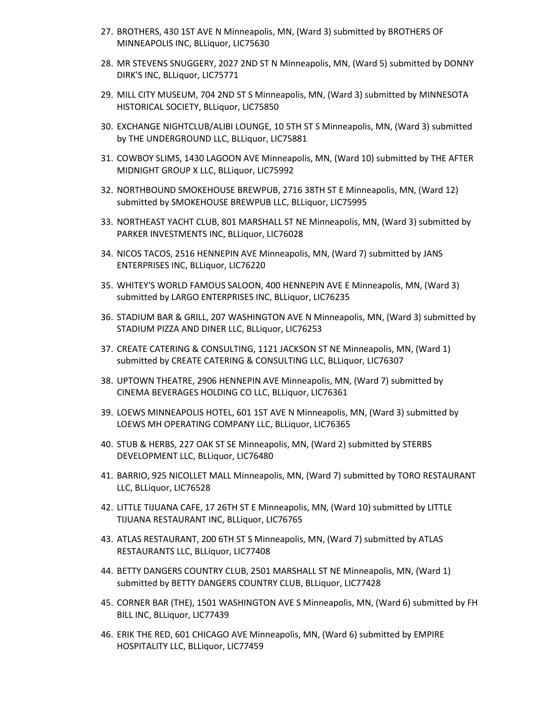- 27. BROTHERS, 430 1ST AVE N Minneapolis, MN, (Ward 3) submitted by BROTHERS OF MINNEAPOLIS INC, BLLiquor, LIC75630
- 28. MR STEVENS SNUGGERY, 2027 2ND ST N Minneapolis, MN, (Ward 5) submitted by DONNY DIRK'S INC, BLLiquor, LIC75771
- 29. MILL CITY MUSEUM, 704 2ND ST S Minneapolis, MN, (Ward 3) submitted by MINNESOTA HISTORICAL SOCIETY, BLLiquor, LIC75850
- 30. EXCHANGE NIGHTCLUB/ALIBI LOUNGE, 10 5TH ST S Minneapolis, MN, (Ward 3) submitted by THE UNDERGROUND LLC, BLLiquor, LIC75881
- 31. COWBOY SLIMS, 1430 LAGOON AVE Minneapolis, MN, (Ward 10) submitted by THE AFTER MIDNIGHT GROUP X LLC, BLLiquor, LIC75992
- 32. NORTHBOUND SMOKEHOUSE BREWPUB, 2716 38TH ST E Minneapolis, MN, (Ward 12) submitted by SMOKEHOUSE BREWPUB LLC, BLLiquor, LIC75995
- 33. NORTHEAST YACHT CLUB, 801 MARSHALL ST NE Minneapolis, MN, (Ward 3) submitted by PARKER INVESTMENTS INC, BLLiquor, LIC76028
- 34. NICOS TACOS, 2516 HENNEPIN AVE Minneapolis, MN, (Ward 7) submitted by JANS ENTERPRISES INC, BLLiquor, LIC76220
- 35. WHITEY'S WORLD FAMOUS SALOON, 400 HENNEPIN AVE E Minneapolis, MN, (Ward 3) submitted by LARGO ENTERPRISES INC, BLLiquor, LIC76235
- 36. STADIUM BAR & GRILL, 207 WASHINGTON AVE N Minneapolis, MN, (Ward 3) submitted by STADIUM PIZZA AND DINER LLC, BLLiquor, LIC76253
- 37. CREATE CATERING & CONSULTING, 1121 JACKSON ST NE Minneapolis, MN, (Ward 1) submitted by CREATE CATERING & CONSULTING LLC, BLLiquor, LIC76307
- 38. UPTOWN THEATRE, 2906 HENNEPIN AVE Minneapolis, MN, (Ward 7) submitted by CINEMA BEVERAGES HOLDING CO LLC, BLLiquor, LIC76361
- 39. LOEWS MINNEAPOLIS HOTEL, 601 1ST AVE N Minneapolis, MN, (Ward 3) submitted by LOEWS MH OPERATING COMPANY LLC, BLLiquor, LIC76365
- 40. STUB & HERBS, 227 OAK ST SE Minneapolis, MN, (Ward 2) submitted by STERBS DEVELOPMENT LLC, BLLiquor, LIC76480
- 41. BARRIO, 925 NICOLLET MALL Minneapolis, MN, (Ward 7) submitted by TORO RESTAURANT LLC, BLLiquor, LIC76528
- 42. LITTLE TIJUANA CAFE, 17 26TH ST E Minneapolis, MN, (Ward 10) submitted by LITTLE TIJUANA RESTAURANT INC, BLLiquor, LIC76765
- 43. ATLAS RESTAURANT, 200 6TH ST S Minneapolis, MN, (Ward 7) submitted by ATLAS RESTAURANTS LLC, BLLiquor, LIC77408
- 44. BETTY DANGERS COUNTRY CLUB, 2501 MARSHALL ST NE Minneapolis, MN, (Ward 1) submitted by BETTY DANGERS COUNTRY CLUB, BLLiquor, LIC77428
- 45. CORNER BAR (THE), 1501 WASHINGTON AVE S Minneapolis, MN, (Ward 6) submitted by FH BILL INC, BLLiquor, LIC77439
- 46. ERIK THE RED, 601 CHICAGO AVE Minneapolis, MN, (Ward 6) submitted by EMPIRE HOSPITALITY LLC, BLLiquor, LIC77459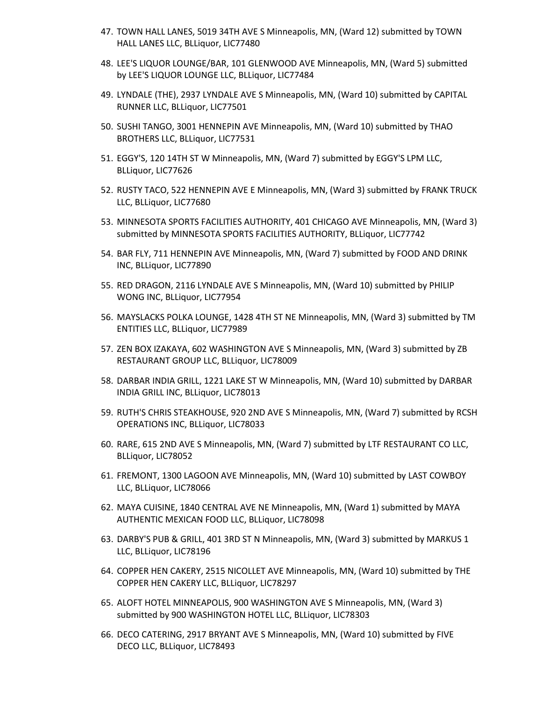- 47. TOWN HALL LANES, 5019 34TH AVE S Minneapolis, MN, (Ward 12) submitted by TOWN HALL LANES LLC, BLLiquor, LIC77480
- 48. LEE'S LIQUOR LOUNGE/BAR, 101 GLENWOOD AVE Minneapolis, MN, (Ward 5) submitted by LEE'S LIQUOR LOUNGE LLC, BLLiquor, LIC77484
- 49. LYNDALE (THE), 2937 LYNDALE AVE S Minneapolis, MN, (Ward 10) submitted by CAPITAL RUNNER LLC, BLLiquor, LIC77501
- 50. SUSHI TANGO, 3001 HENNEPIN AVE Minneapolis, MN, (Ward 10) submitted by THAO BROTHERS LLC, BLLiquor, LIC77531
- 51. EGGY'S, 120 14TH ST W Minneapolis, MN, (Ward 7) submitted by EGGY'S LPM LLC, BLLiquor, LIC77626
- 52. RUSTY TACO, 522 HENNEPIN AVE E Minneapolis, MN, (Ward 3) submitted by FRANK TRUCK LLC, BLLiquor, LIC77680
- 53. MINNESOTA SPORTS FACILITIES AUTHORITY, 401 CHICAGO AVE Minneapolis, MN, (Ward 3) submitted by MINNESOTA SPORTS FACILITIES AUTHORITY, BLLiquor, LIC77742
- 54. BAR FLY, 711 HENNEPIN AVE Minneapolis, MN, (Ward 7) submitted by FOOD AND DRINK INC, BLLiquor, LIC77890
- 55. RED DRAGON, 2116 LYNDALE AVE S Minneapolis, MN, (Ward 10) submitted by PHILIP WONG INC, BLLiquor, LIC77954
- 56. MAYSLACKS POLKA LOUNGE, 1428 4TH ST NE Minneapolis, MN, (Ward 3) submitted by TM ENTITIES LLC, BLLiquor, LIC77989
- 57. ZEN BOX IZAKAYA, 602 WASHINGTON AVE S Minneapolis, MN, (Ward 3) submitted by ZB RESTAURANT GROUP LLC, BLLiquor, LIC78009
- 58. DARBAR INDIA GRILL, 1221 LAKE ST W Minneapolis, MN, (Ward 10) submitted by DARBAR INDIA GRILL INC, BLLiquor, LIC78013
- 59. RUTH'S CHRIS STEAKHOUSE, 920 2ND AVE S Minneapolis, MN, (Ward 7) submitted by RCSH OPERATIONS INC, BLLiquor, LIC78033
- 60. RARE, 615 2ND AVE S Minneapolis, MN, (Ward 7) submitted by LTF RESTAURANT CO LLC, BLLiquor, LIC78052
- 61. FREMONT, 1300 LAGOON AVE Minneapolis, MN, (Ward 10) submitted by LAST COWBOY LLC, BLLiquor, LIC78066
- 62. MAYA CUISINE, 1840 CENTRAL AVE NE Minneapolis, MN, (Ward 1) submitted by MAYA AUTHENTIC MEXICAN FOOD LLC, BLLiquor, LIC78098
- 63. DARBY'S PUB & GRILL, 401 3RD ST N Minneapolis, MN, (Ward 3) submitted by MARKUS 1 LLC, BLLiquor, LIC78196
- 64. COPPER HEN CAKERY, 2515 NICOLLET AVE Minneapolis, MN, (Ward 10) submitted by THE COPPER HEN CAKERY LLC, BLLiquor, LIC78297
- 65. ALOFT HOTEL MINNEAPOLIS, 900 WASHINGTON AVE S Minneapolis, MN, (Ward 3) submitted by 900 WASHINGTON HOTEL LLC, BLLiquor, LIC78303
- 66. DECO CATERING, 2917 BRYANT AVE S Minneapolis, MN, (Ward 10) submitted by FIVE DECO LLC, BLLiquor, LIC78493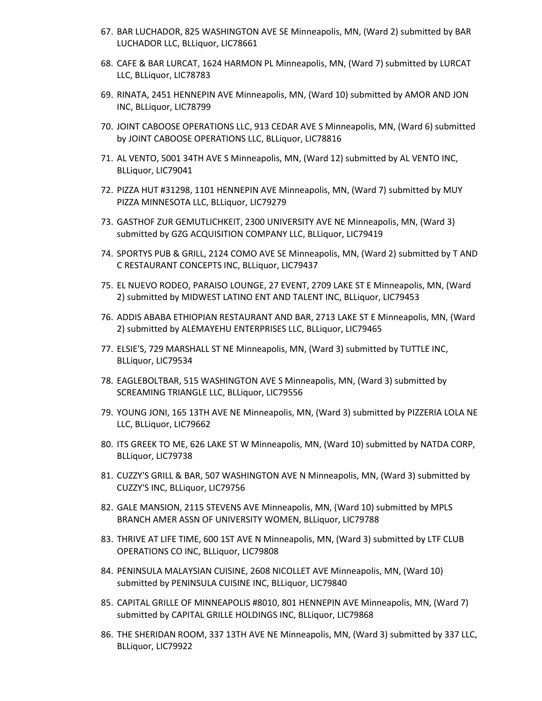- 67. BAR LUCHADOR, 825 WASHINGTON AVE SE Minneapolis, MN, (Ward 2) submitted by BAR LUCHADOR LLC, BLLiquor, LIC78661
- 68. CAFE & BAR LURCAT, 1624 HARMON PL Minneapolis, MN, (Ward 7) submitted by LURCAT LLC, BLLiquor, LIC78783
- 69. RINATA, 2451 HENNEPIN AVE Minneapolis, MN, (Ward 10) submitted by AMOR AND JON INC, BLLiquor, LIC78799
- 70. JOINT CABOOSE OPERATIONS LLC, 913 CEDAR AVE S Minneapolis, MN, (Ward 6) submitted by JOINT CABOOSE OPERATIONS LLC, BLLiquor, LIC78816
- 71. AL VENTO, 5001 34TH AVE S Minneapolis, MN, (Ward 12) submitted by AL VENTO INC, BLLiquor, LIC79041
- 72. PIZZA HUT #31298, 1101 HENNEPIN AVE Minneapolis, MN, (Ward 7) submitted by MUY PIZZA MINNESOTA LLC, BLLiquor, LIC79279
- 73. GASTHOF ZUR GEMUTLICHKEIT, 2300 UNIVERSITY AVE NE Minneapolis, MN, (Ward 3) submitted by GZG ACQUISITION COMPANY LLC, BLLiquor, LIC79419
- 74. SPORTYS PUB & GRILL, 2124 COMO AVE SE Minneapolis, MN, (Ward 2) submitted by T AND C RESTAURANT CONCEPTS INC, BLLiquor, LIC79437
- 75. EL NUEVO RODEO, PARAISO LOUNGE, 27 EVENT, 2709 LAKE ST E Minneapolis, MN, (Ward 2) submitted by MIDWEST LATINO ENT AND TALENT INC, BLLiquor, LIC79453
- 76. ADDIS ABABA ETHIOPIAN RESTAURANT AND BAR, 2713 LAKE ST E Minneapolis, MN, (Ward 2) submitted by ALEMAYEHU ENTERPRISES LLC, BLLiquor, LIC79465
- 77. ELSIE'S, 729 MARSHALL ST NE Minneapolis, MN, (Ward 3) submitted by TUTTLE INC, BLLiquor, LIC79534
- 78. EAGLEBOLTBAR, 515 WASHINGTON AVE S Minneapolis, MN, (Ward 3) submitted by SCREAMING TRIANGLE LLC, BLLiquor, LIC79556
- 79. YOUNG JONI, 165 13TH AVE NE Minneapolis, MN, (Ward 3) submitted by PIZZERIA LOLA NE LLC, BLLiquor, LIC79662
- 80. ITS GREEK TO ME, 626 LAKE ST W Minneapolis, MN, (Ward 10) submitted by NATDA CORP, BLLiquor, LIC79738
- 81. CUZZY'S GRILL & BAR, 507 WASHINGTON AVE N Minneapolis, MN, (Ward 3) submitted by CUZZY'S INC, BLLiquor, LIC79756
- 82. GALE MANSION, 2115 STEVENS AVE Minneapolis, MN, (Ward 10) submitted by MPLS BRANCH AMER ASSN OF UNIVERSITY WOMEN, BLLiquor, LIC79788
- 83. THRIVE AT LIFE TIME, 600 1ST AVE N Minneapolis, MN, (Ward 3) submitted by LTF CLUB OPERATIONS CO INC, BLLiquor, LIC79808
- 84. PENINSULA MALAYSIAN CUISINE, 2608 NICOLLET AVE Minneapolis, MN, (Ward 10) submitted by PENINSULA CUISINE INC, BLLiquor, LIC79840
- 85. CAPITAL GRILLE OF MINNEAPOLIS #8010, 801 HENNEPIN AVE Minneapolis, MN, (Ward 7) submitted by CAPITAL GRILLE HOLDINGS INC, BLLiquor, LIC79868
- 86. THE SHERIDAN ROOM, 337 13TH AVE NE Minneapolis, MN, (Ward 3) submitted by 337 LLC, BLLiquor, LIC79922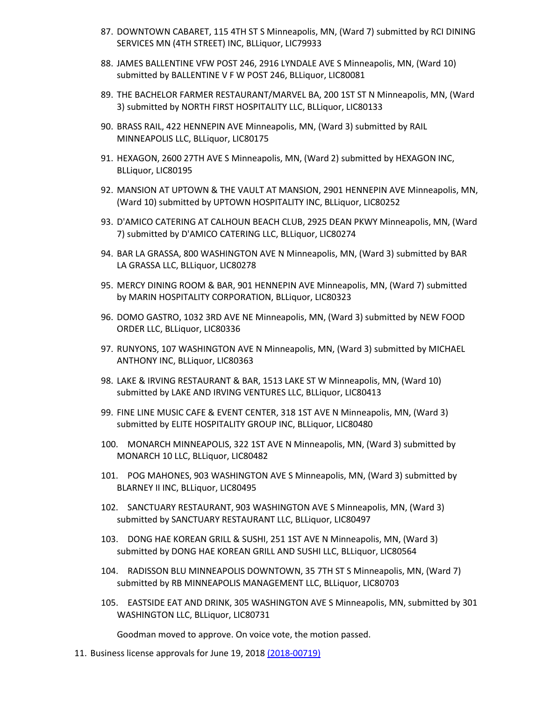- 87. DOWNTOWN CABARET, 115 4TH ST S Minneapolis, MN, (Ward 7) submitted by RCI DINING SERVICES MN (4TH STREET) INC, BLLiquor, LIC79933
- 88. JAMES BALLENTINE VFW POST 246, 2916 LYNDALE AVE S Minneapolis, MN, (Ward 10) submitted by BALLENTINE V F W POST 246, BLLiquor, LIC80081
- 89. THE BACHELOR FARMER RESTAURANT/MARVEL BA, 200 1ST ST N Minneapolis, MN, (Ward 3) submitted by NORTH FIRST HOSPITALITY LLC, BLLiquor, LIC80133
- 90. BRASS RAIL, 422 HENNEPIN AVE Minneapolis, MN, (Ward 3) submitted by RAIL MINNEAPOLIS LLC, BLLiquor, LIC80175
- 91. HEXAGON, 2600 27TH AVE S Minneapolis, MN, (Ward 2) submitted by HEXAGON INC, BLLiquor, LIC80195
- 92. MANSION AT UPTOWN & THE VAULT AT MANSION, 2901 HENNEPIN AVE Minneapolis, MN, (Ward 10) submitted by UPTOWN HOSPITALITY INC, BLLiquor, LIC80252
- 93. D'AMICO CATERING AT CALHOUN BEACH CLUB, 2925 DEAN PKWY Minneapolis, MN, (Ward 7) submitted by D'AMICO CATERING LLC, BLLiquor, LIC80274
- 94. BAR LA GRASSA, 800 WASHINGTON AVE N Minneapolis, MN, (Ward 3) submitted by BAR LA GRASSA LLC, BLLiquor, LIC80278
- 95. MERCY DINING ROOM & BAR, 901 HENNEPIN AVE Minneapolis, MN, (Ward 7) submitted by MARIN HOSPITALITY CORPORATION, BLLiquor, LIC80323
- 96. DOMO GASTRO, 1032 3RD AVE NE Minneapolis, MN, (Ward 3) submitted by NEW FOOD ORDER LLC, BLLiquor, LIC80336
- 97. RUNYONS, 107 WASHINGTON AVE N Minneapolis, MN, (Ward 3) submitted by MICHAEL ANTHONY INC, BLLiquor, LIC80363
- 98. LAKE & IRVING RESTAURANT & BAR, 1513 LAKE ST W Minneapolis, MN, (Ward 10) submitted by LAKE AND IRVING VENTURES LLC, BLLiquor, LIC80413
- 99. FINE LINE MUSIC CAFE & EVENT CENTER, 318 1ST AVE N Minneapolis, MN, (Ward 3) submitted by ELITE HOSPITALITY GROUP INC, BLLiquor, LIC80480
- 100. MONARCH MINNEAPOLIS, 322 1ST AVE N Minneapolis, MN, (Ward 3) submitted by MONARCH 10 LLC, BLLiquor, LIC80482
- 101. POG MAHONES, 903 WASHINGTON AVE S Minneapolis, MN, (Ward 3) submitted by BLARNEY II INC, BLLiquor, LIC80495
- 102. SANCTUARY RESTAURANT, 903 WASHINGTON AVE S Minneapolis, MN, (Ward 3) submitted by SANCTUARY RESTAURANT LLC, BLLiquor, LIC80497
- 103. DONG HAE KOREAN GRILL & SUSHI, 251 1ST AVE N Minneapolis, MN, (Ward 3) submitted by DONG HAE KOREAN GRILL AND SUSHI LLC, BLLiquor, LIC80564
- 104. RADISSON BLU MINNEAPOLIS DOWNTOWN, 35 7TH ST S Minneapolis, MN, (Ward 7) submitted by RB MINNEAPOLIS MANAGEMENT LLC, BLLiquor, LIC80703
- 105. EASTSIDE EAT AND DRINK, 305 WASHINGTON AVE S Minneapolis, MN, submitted by 301 WASHINGTON LLC, BLLiquor, LIC80731

Goodman moved to approve. On voice vote, the motion passed.

11. Business license approvals for June 19, 2018 [\(2018-00719\)](https://lims.minneapolismn.gov/File/2018-00719)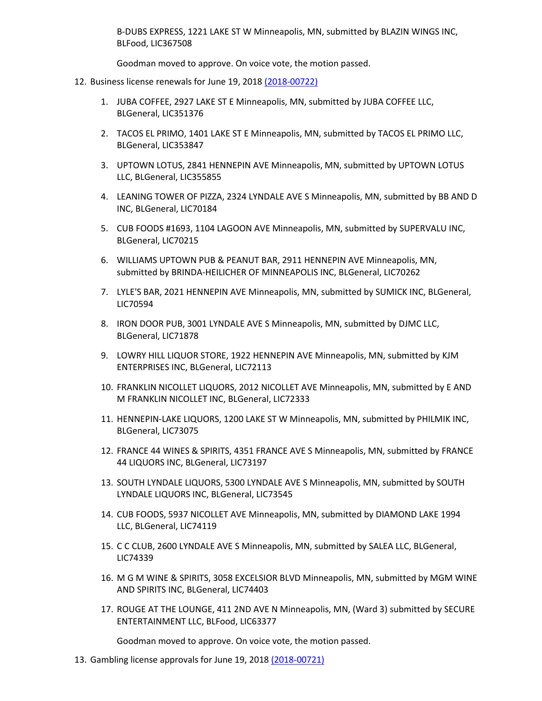B-DUBS EXPRESS, 1221 LAKE ST W Minneapolis, MN, submitted by BLAZIN WINGS INC, BLFood, LIC367508

Goodman moved to approve. On voice vote, the motion passed.

- 12. Business license renewals for June 19, 2018 [\(2018-00722\)](https://lims.minneapolismn.gov/File/2018-00722)
	- 1. JUBA COFFEE, 2927 LAKE ST E Minneapolis, MN, submitted by JUBA COFFEE LLC, BLGeneral, LIC351376
	- 2. TACOS EL PRIMO, 1401 LAKE ST E Minneapolis, MN, submitted by TACOS EL PRIMO LLC, BLGeneral, LIC353847
	- 3. UPTOWN LOTUS, 2841 HENNEPIN AVE Minneapolis, MN, submitted by UPTOWN LOTUS LLC, BLGeneral, LIC355855
	- 4. LEANING TOWER OF PIZZA, 2324 LYNDALE AVE S Minneapolis, MN, submitted by BB AND D INC, BLGeneral, LIC70184
	- 5. CUB FOODS #1693, 1104 LAGOON AVE Minneapolis, MN, submitted by SUPERVALU INC, BLGeneral, LIC70215
	- 6. WILLIAMS UPTOWN PUB & PEANUT BAR, 2911 HENNEPIN AVE Minneapolis, MN, submitted by BRINDA-HEILICHER OF MINNEAPOLIS INC, BLGeneral, LIC70262
	- 7. LYLE'S BAR, 2021 HENNEPIN AVE Minneapolis, MN, submitted by SUMICK INC, BLGeneral, LIC70594
	- 8. IRON DOOR PUB, 3001 LYNDALE AVE S Minneapolis, MN, submitted by DJMC LLC, BLGeneral, LIC71878
	- 9. LOWRY HILL LIQUOR STORE, 1922 HENNEPIN AVE Minneapolis, MN, submitted by KJM ENTERPRISES INC, BLGeneral, LIC72113
	- 10. FRANKLIN NICOLLET LIQUORS, 2012 NICOLLET AVE Minneapolis, MN, submitted by E AND M FRANKLIN NICOLLET INC, BLGeneral, LIC72333
	- 11. HENNEPIN-LAKE LIQUORS, 1200 LAKE ST W Minneapolis, MN, submitted by PHILMIK INC, BLGeneral, LIC73075
	- 12. FRANCE 44 WINES & SPIRITS, 4351 FRANCE AVE S Minneapolis, MN, submitted by FRANCE 44 LIQUORS INC, BLGeneral, LIC73197
	- 13. SOUTH LYNDALE LIQUORS, 5300 LYNDALE AVE S Minneapolis, MN, submitted by SOUTH LYNDALE LIQUORS INC, BLGeneral, LIC73545
	- 14. CUB FOODS, 5937 NICOLLET AVE Minneapolis, MN, submitted by DIAMOND LAKE 1994 LLC, BLGeneral, LIC74119
	- 15. C C CLUB, 2600 LYNDALE AVE S Minneapolis, MN, submitted by SALEA LLC, BLGeneral, LIC74339
	- 16. M G M WINE & SPIRITS, 3058 EXCELSIOR BLVD Minneapolis, MN, submitted by MGM WINE AND SPIRITS INC, BLGeneral, LIC74403
	- 17. ROUGE AT THE LOUNGE, 411 2ND AVE N Minneapolis, MN, (Ward 3) submitted by SECURE ENTERTAINMENT LLC, BLFood, LIC63377

Goodman moved to approve. On voice vote, the motion passed.

13. Gambling license approvals for June 19, 2018 [\(2018-00721\)](https://lims.minneapolismn.gov/File/2018-00721)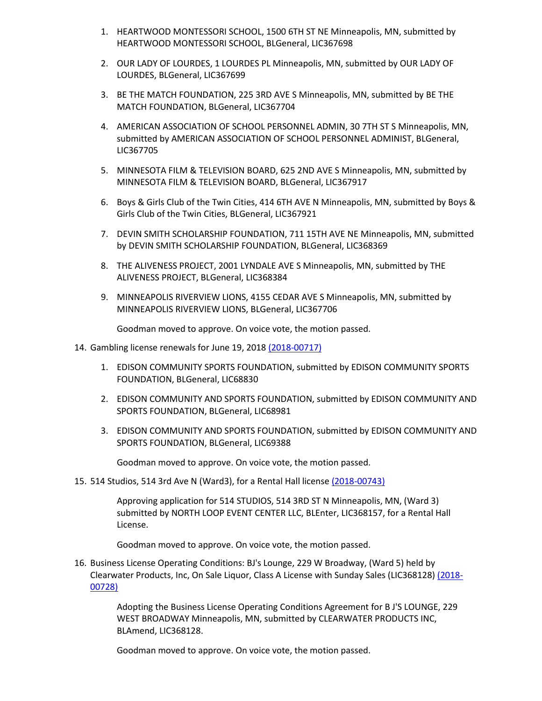- 1. HEARTWOOD MONTESSORI SCHOOL, 1500 6TH ST NE Minneapolis, MN, submitted by HEARTWOOD MONTESSORI SCHOOL, BLGeneral, LIC367698
- 2. OUR LADY OF LOURDES, 1 LOURDES PL Minneapolis, MN, submitted by OUR LADY OF LOURDES, BLGeneral, LIC367699
- 3. BE THE MATCH FOUNDATION, 225 3RD AVE S Minneapolis, MN, submitted by BE THE MATCH FOUNDATION, BLGeneral, LIC367704
- 4. AMERICAN ASSOCIATION OF SCHOOL PERSONNEL ADMIN, 30 7TH ST S Minneapolis, MN, submitted by AMERICAN ASSOCIATION OF SCHOOL PERSONNEL ADMINIST, BLGeneral, LIC367705
- 5. MINNESOTA FILM & TELEVISION BOARD, 625 2ND AVE S Minneapolis, MN, submitted by MINNESOTA FILM & TELEVISION BOARD, BLGeneral, LIC367917
- 6. Boys & Girls Club of the Twin Cities, 414 6TH AVE N Minneapolis, MN, submitted by Boys & Girls Club of the Twin Cities, BLGeneral, LIC367921
- 7. DEVIN SMITH SCHOLARSHIP FOUNDATION, 711 15TH AVE NE Minneapolis, MN, submitted by DEVIN SMITH SCHOLARSHIP FOUNDATION, BLGeneral, LIC368369
- 8. THE ALIVENESS PROJECT, 2001 LYNDALE AVE S Minneapolis, MN, submitted by THE ALIVENESS PROJECT, BLGeneral, LIC368384
- 9. MINNEAPOLIS RIVERVIEW LIONS, 4155 CEDAR AVE S Minneapolis, MN, submitted by MINNEAPOLIS RIVERVIEW LIONS, BLGeneral, LIC367706

Goodman moved to approve. On voice vote, the motion passed.

- 14. Gambling license renewals for June 19, 2018 [\(2018-00717\)](https://lims.minneapolismn.gov/File/2018-00717)
	- 1. EDISON COMMUNITY SPORTS FOUNDATION, submitted by EDISON COMMUNITY SPORTS FOUNDATION, BLGeneral, LIC68830
	- 2. EDISON COMMUNITY AND SPORTS FOUNDATION, submitted by EDISON COMMUNITY AND SPORTS FOUNDATION, BLGeneral, LIC68981
	- 3. EDISON COMMUNITY AND SPORTS FOUNDATION, submitted by EDISON COMMUNITY AND SPORTS FOUNDATION, BLGeneral, LIC69388

Goodman moved to approve. On voice vote, the motion passed.

#### 15. 514 Studios, 514 3rd Ave N (Ward3), for a Rental Hall licens[e \(2018-00743\)](https://lims.minneapolismn.gov/File/2018-00743)

Approving application for 514 STUDIOS, 514 3RD ST N Minneapolis, MN, (Ward 3) submitted by NORTH LOOP EVENT CENTER LLC, BLEnter, LIC368157, for a Rental Hall License.

Goodman moved to approve. On voice vote, the motion passed.

16. Business License Operating Conditions: BJ's Lounge, 229 W Broadway, (Ward 5) held by Clearwater Products, Inc, On Sale Liquor, Class A License with Sunday Sales (LIC368128) [\(2018-](https://lims.minneapolismn.gov/File/2018-00728) [00728\)](https://lims.minneapolismn.gov/File/2018-00728)

> Adopting the Business License Operating Conditions Agreement for B J'S LOUNGE, 229 WEST BROADWAY Minneapolis, MN, submitted by CLEARWATER PRODUCTS INC, BLAmend, LIC368128.

Goodman moved to approve. On voice vote, the motion passed.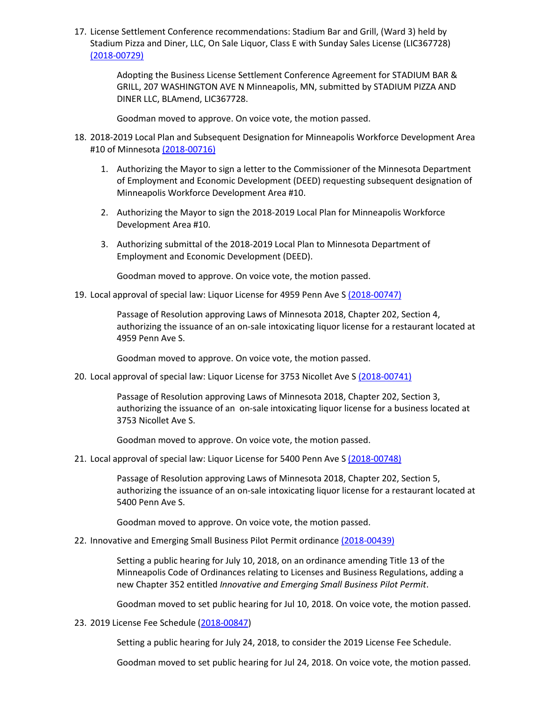17. License Settlement Conference recommendations: Stadium Bar and Grill, (Ward 3) held by Stadium Pizza and Diner, LLC, On Sale Liquor, Class E with Sunday Sales License (LIC367728) [\(2018-00729\)](https://lims.minneapolismn.gov/File/2018-00729)

> Adopting the Business License Settlement Conference Agreement for STADIUM BAR & GRILL, 207 WASHINGTON AVE N Minneapolis, MN, submitted by STADIUM PIZZA AND DINER LLC, BLAmend, LIC367728.

Goodman moved to approve. On voice vote, the motion passed.

- 18. 2018-2019 Local Plan and Subsequent Designation for Minneapolis Workforce Development Area #10 of Minnesota [\(2018-00716\)](https://lims.minneapolismn.gov/File/2018-00716)
	- 1. Authorizing the Mayor to sign a letter to the Commissioner of the Minnesota Department of Employment and Economic Development (DEED) requesting subsequent designation of Minneapolis Workforce Development Area #10.
	- 2. Authorizing the Mayor to sign the 2018-2019 Local Plan for Minneapolis Workforce Development Area #10.
	- 3. Authorizing submittal of the 2018-2019 Local Plan to Minnesota Department of Employment and Economic Development (DEED).

Goodman moved to approve. On voice vote, the motion passed.

19. Local approval of special law: Liquor License for 4959 Penn Ave S [\(2018-00747\)](https://lims.minneapolismn.gov/File/2018-00747)

Passage of Resolution approving Laws of Minnesota 2018, Chapter 202, Section 4, authorizing the issuance of an on-sale intoxicating liquor license for a restaurant located at 4959 Penn Ave S.

Goodman moved to approve. On voice vote, the motion passed.

20. Local approval of special law: Liquor License for 3753 Nicollet Ave S [\(2018-00741\)](https://lims.minneapolismn.gov/File/2018-00741)

Passage of Resolution approving Laws of Minnesota 2018, Chapter 202, Section 3, authorizing the issuance of an on-sale intoxicating liquor license for a business located at 3753 Nicollet Ave S.

Goodman moved to approve. On voice vote, the motion passed.

21. Local approval of special law: Liquor License for 5400 Penn Ave S [\(2018-00748\)](https://lims.minneapolismn.gov/File/2018-00748)

Passage of Resolution approving Laws of Minnesota 2018, Chapter 202, Section 5, authorizing the issuance of an on-sale intoxicating liquor license for a restaurant located at 5400 Penn Ave S.

Goodman moved to approve. On voice vote, the motion passed.

22. Innovative and Emerging Small Business Pilot Permit ordinanc[e \(2018-00439\)](https://lims.minneapolismn.gov/File/2018-00439)

Setting a public hearing for July 10, 2018, on an ordinance amending Title 13 of the Minneapolis Code of Ordinances relating to Licenses and Business Regulations, adding a new Chapter 352 entitled *Innovative and Emerging Small Business Pilot Permit*.

Goodman moved to set public hearing for Jul 10, 2018. On voice vote, the motion passed.

23. 2019 License Fee Schedule [\(2018-00847\)](http://lims.minneapolismn.gov/File/2018-00847)

Setting a public hearing for July 24, 2018, to consider the 2019 License Fee Schedule.

Goodman moved to set public hearing for Jul 24, 2018. On voice vote, the motion passed.